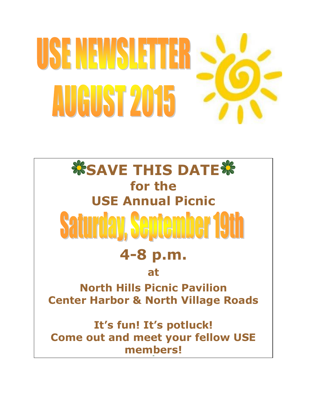# USENEWSIETER **AUGUST 2015**

# *SSAVE THIS DATE* **for the USE Annual Picnic Saturday, September 19th 4-8 p.m. at North Hills Picnic Pavilion Center Harbor & North Village Roads It's fun! It's potluck!**

**Come out and meet your fellow USE members!**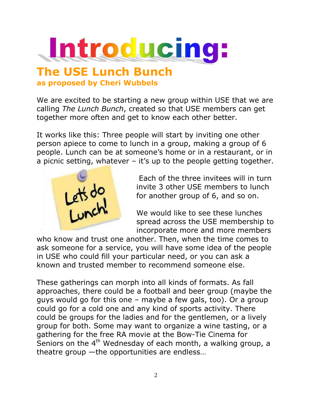

#### **The USE Lunch Bunch as proposed by Cheri Wubbels**

We are excited to be starting a new group within USE that we are calling *The Lunch Bunch*, created so that USE members can get together more often and get to know each other better.

It works like this: Three people will start by inviting one other person apiece to come to lunch in a group, making a group of 6 people. Lunch can be at someone's home or in a restaurant, or in a picnic setting, whatever – it's up to the people getting together.



Each of the three invitees will in turn invite 3 other USE members to lunch for another group of 6, and so on.

We would like to see these lunches spread across the USE membership to incorporate more and more members

who know and trust one another. Then, when the time comes to ask someone for a service, you will have some idea of the people in USE who could fill your particular need, or you can ask a known and trusted member to recommend someone else.

These gatherings can morph into all kinds of formats. As fall approaches, there could be a football and beer group (maybe the guys would go for this one – maybe a few gals, too). Or a group could go for a cold one and any kind of sports activity. There could be groups for the ladies and for the gentlemen, or a lively group for both. Some may want to organize a wine tasting, or a gathering for the free RA movie at the Bow-Tie Cinema for Seniors on the  $4<sup>th</sup>$  Wednesday of each month, a walking group, a theatre group —the opportunities are endless…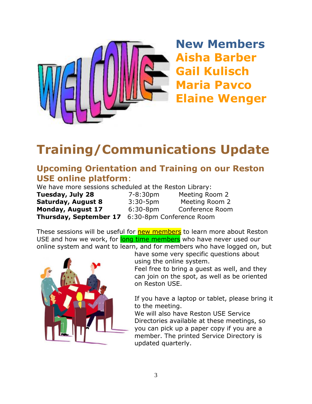

**New Members Aisha Barber Gail Kulisch Maria Pavco Elaine Wenger**

# **Training/Communications Update**

#### **Upcoming Orientation and Training on our Reston USE online platform**:

We have more sessions scheduled at the Reston Library:

**Thursday, September 17** 6:30-8pm Conference Room

**Tuesday, July 28** 7-8:30pm Meeting Room 2 **Saturday, August 8** 3:30-5pm Meeting Room 2 **Monday, August 17** 6:30-8pm Conference Room

These sessions will be useful for **new members** to learn more about Reston USE and how we work, for long time members who have never used our online system and want to learn, and for members who have logged on, but



have some very specific questions about using the online system.

Feel free to bring a guest as well, and they can join on the spot, as well as be oriented on Reston USE.

If you have a laptop or tablet, please bring it to the meeting.

We will also have Reston USE Service Directories available at these meetings, so you can pick up a paper copy if you are a member. The printed Service Directory is updated quarterly.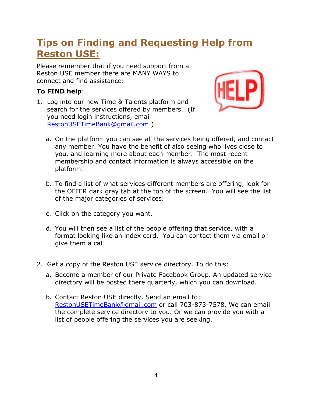#### **Tips on Finding and Requesting Help from Reston USE:**

Please remember that if you need support from a Reston USE member there are MANY WAYS to connect and find assistance:

#### **To FIND help**:

1. Log into our new Time & Talents platform and search for the services offered by members. (If you need login instructions, email [RestonUSETimeBank@gmail.com](mailto:RestonUSETimeBank@gmail.com) )



- a. On the platform you can see all the services being offered, and contact any member. You have the benefit of also seeing who lives close to you, and learning more about each member. The most recent membership and contact information is always accessible on the platform.
- b. To find a list of what services different members are offering, look for the OFFER dark gray tab at the top of the screen. You will see the list of the major categories of services.
- c. Click on the category you want.
- d. You will then see a list of the people offering that service, with a format looking like an index card. You can contact them via email or give them a call.
- 2. Get a copy of the Reston USE service directory. To do this:
	- a. Become a member of our Private Facebook Group. An updated service directory will be posted there quarterly, which you can download.
	- b. Contact Reston USE directly. Send an email to: [RestonUSETimeBank@gmail.com](mailto:RestonUSETimeBank@gmail.com) or call 703-873-7578. We can email the complete service directory to you. Or we can provide you with a list of people offering the services you are seeking.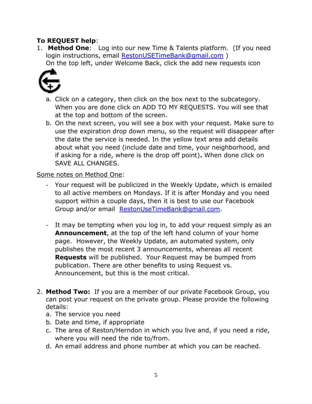#### **To REQUEST help**:

1. **Method One**: Log into our new Time & Talents platform. (If you need login instructions, email [RestonUSETimeBank@gmail.com](mailto:RestonUSETimeBank@gmail.com)) On the top left, under Welcome Back, click the add new requests icon



- a. Click on a category, then click on the box next to the subcategory. When you are done click on ADD TO MY REQUESTS. You will see that at the top and bottom of the screen.
- b. On the next screen, you will see a box with your request. Make sure to use the expiration drop down menu, so the request will disappear after the date the service is needed. In the yellow text area add details about what you need (include date and time, your neighborhood, and if asking for a ride, where is the drop off point)**.** When done click on SAVE ALL CHANGES.

#### Some notes on Method One:

- Your request will be publicized in the Weekly Update, which is emailed to all active members on Mondays. If it is after Monday and you need support within a couple days, then it is best to use our Facebook Group and/or email [RestonUseTimeBank@gmail.com.](mailto:RestonUseTimeBank@gmail.com)
- It may be tempting when you log in, to add your request simply as an **Announcement**, at the top of the left hand column of your home page. However, the Weekly Update, an automated system, only publishes the most recent 3 announcements, whereas all recent **Requests** will be published. Your Request may be bumped from publication. There are other benefits to using Request vs. Announcement, but this is the most critical.
- 2. **Method Two:** If you are a member of our private Facebook Group, you can post your request on the private group. Please provide the following details:
	- a. The service you need
	- b. Date and time, if appropriate
	- c. The area of Reston/Herndon in which you live and, if you need a ride, where you will need the ride to/from.
	- d. An email address and phone number at which you can be reached.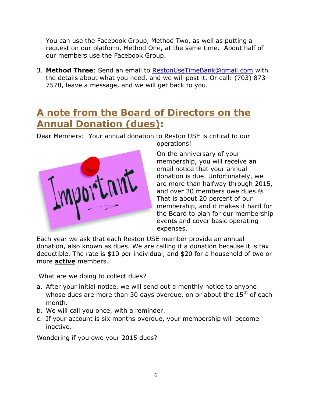You can use the Facebook Group, Method Two, as well as putting a request on our platform, Method One, at the same time. About half of our members use the Facebook Group.

3. **Method Three**: Send an email to [RestonUseTimeBank@gmail.com](mailto:RestonUseTimeBank@gmail.com) with the details about what you need, and we will post it. Or call: (703) 873- 7578, leave a message, and we will get back to you.

#### **A note from the Board of Directors on the Annual Donation (dues):**

Dear Members: Your annual donation to Reston USE is critical to our operations!



On the anniversary of your membership, you will receive an email notice that your annual donation is due. Unfortunately, we are more than halfway through 2015, and over 30 members owe dues. $\circledcirc$ That is about 20 percent of our membership, and it makes it hard for the Board to plan for our membership events and cover basic operating expenses.

Each year we ask that each Reston USE member provide an annual donation, also known as dues. We are calling it a donation because it is tax deductible. The rate is \$10 per individual, and \$20 for a household of two or more **active** members.

What are we doing to collect dues?

- a. After your initial notice, we will send out a monthly notice to anyone whose dues are more than 30 days overdue, on or about the  $15<sup>th</sup>$  of each month.
- b. We will call you once, with a reminder.
- c. If your account is six months overdue, your membership will become inactive.

Wondering if you owe your 2015 dues?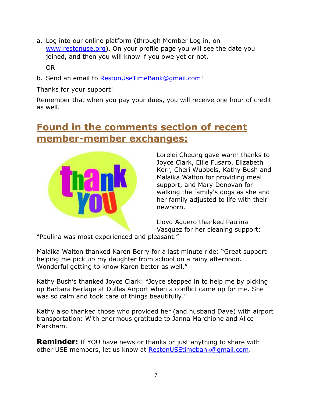- a. Log into our online platform (through Member Log in, on [www.restonuse.org\)](http://www.restonuse.org/). On your profile page you will see the date you joined, and then you will know if you owe yet or not. OR
- b. Send an email to [RestonUseTimeBank@gmail.com!](mailto:RestonUseTimeBank@gmail.com)

Thanks for your support!

Remember that when you pay your dues, you will receive one hour of credit as well.

#### **Found in the comments section of recent member-member exchanges:**



Lorelei Cheung gave warm thanks to Joyce Clark, Ellie Fusaro, Elizabeth Kerr, Cheri Wubbels, Kathy Bush and Malaika Walton for providing meal support, and Mary Donovan for walking the family's dogs as she and her family adjusted to life with their newborn.

Lloyd Aguero thanked Paulina Vasquez for her cleaning support:

"Paulina was most experienced and pleasant."

Malaika Walton thanked Karen Berry for a last minute ride: "Great support helping me pick up my daughter from school on a rainy afternoon. Wonderful getting to know Karen better as well."

Kathy Bush's thanked Joyce Clark: "Joyce stepped in to help me by picking up Barbara Berlage at Dulles Airport when a conflict came up for me. She was so calm and took care of things beautifully."

Kathy also thanked those who provided her (and husband Dave) with airport transportation: With enormous gratitude to Janna Marchione and Alice Markham.

**Reminder:** If YOU have news or thanks or just anything to share with other USE members, let us know at [RestonUSEtimebank@gmail.com.](mailto:RestonUSEtimebank@gmail.com)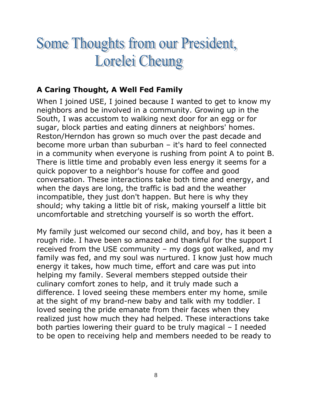# Some Thoughts from our President, Lorelei Cheung

#### **A Caring Thought, A Well Fed Family**

When I joined USE, I joined because I wanted to get to know my neighbors and be involved in a community. Growing up in the South, I was accustom to walking next door for an egg or for sugar, block parties and eating dinners at neighbors' homes. Reston/Herndon has grown so much over the past decade and become more urban than suburban – it's hard to feel connected in a community when everyone is rushing from point A to point B. There is little time and probably even less energy it seems for a quick popover to a neighbor's house for coffee and good conversation. These interactions take both time and energy, and when the days are long, the traffic is bad and the weather incompatible, they just don't happen. But here is why they should; why taking a little bit of risk, making yourself a little bit uncomfortable and stretching yourself is so worth the effort.

My family just welcomed our second child, and boy, has it been a rough ride. I have been so amazed and thankful for the support I received from the USE community – my dogs got walked, and my family was fed, and my soul was nurtured. I know just how much energy it takes, how much time, effort and care was put into helping my family. Several members stepped outside their culinary comfort zones to help, and it truly made such a difference. I loved seeing these members enter my home, smile at the sight of my brand-new baby and talk with my toddler. I loved seeing the pride emanate from their faces when they realized just how much they had helped. These interactions take both parties lowering their guard to be truly magical – I needed to be open to receiving help and members needed to be ready to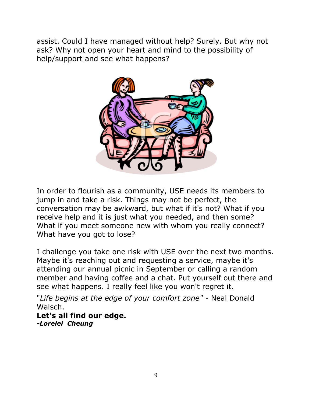assist. Could I have managed without help? Surely. But why not ask? Why not open your heart and mind to the possibility of help/support and see what happens?



In order to flourish as a community, USE needs its members to jump in and take a risk. Things may not be perfect, the conversation may be awkward, but what if it's not? What if you receive help and it is just what you needed, and then some? What if you meet someone new with whom you really connect? What have you got to lose?

I challenge you take one risk with USE over the next two months. Maybe it's reaching out and requesting a service, maybe it's attending our annual picnic in September or calling a random member and having coffee and a chat. Put yourself out there and see what happens. I really feel like you won't regret it.

"*Life begins at the edge of your comfort zone"* - Neal Donald Walsch.

**Let's all find our edge.** *-Lorelei Cheung*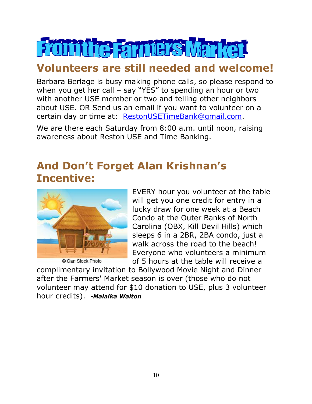# From the Farmers Mar

#### **Volunteers are still needed and welcome!**

Barbara Berlage is busy making phone calls, so please respond to when you get her call – say "YES" to spending an hour or two with another USE member or two and telling other neighbors about USE. OR Send us an email if you want to volunteer on a certain day or time at: [RestonUSETimeBank@gmail.com.](mailto:RestonUSETimeBank@gmail.com)

We are there each Saturday from 8:00 a.m. until noon, raising awareness about Reston USE and Time Banking.

#### **And Don't Forget Alan Krishnan's Incentive:**



© Can Stock Photo

EVERY hour you volunteer at the table will get you one credit for entry in a lucky draw for one week at a Beach Condo at the Outer Banks of North Carolina (OBX, Kill Devil Hills) which sleeps 6 in a 2BR, 2BA condo, just a walk across the road to the beach! Everyone who volunteers a minimum of 5 hours at the table will receive a

complimentary invitation to Bollywood Movie Night and Dinner after the Farmers' Market season is over (those who do not volunteer may attend for \$10 donation to USE, plus 3 volunteer hour credits). *-Malaika Walton*